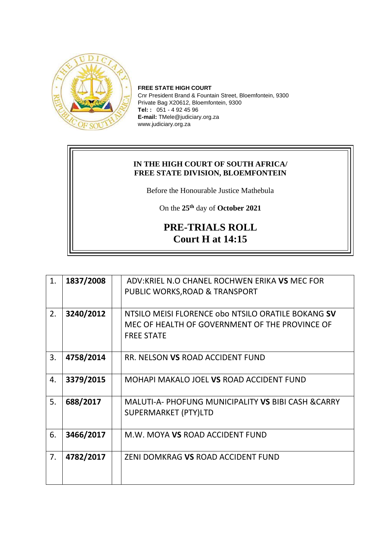

**FREE STATE HIGH COURT** Cnr President Brand & Fountain Street, Bloemfontein, 9300 Private Bag X20612, Bloemfontein, 9300 **Tel: :** 051 - 4 92 45 96 **E-mail:** TMele@judiciary.org.za www.judiciary.org.za

## **IN THE HIGH COURT OF SOUTH AFRICA/ FREE STATE DIVISION, BLOEMFONTEIN**

Before the Honourable Justice Mathebula

On the **25th** day of **October 2021**

## **PRE-TRIALS ROLL Court H at 14:15**

| 1. | 1837/2008 | ADV:KRIEL N.O CHANEL ROCHWEN ERIKA VS MEC FOR       |
|----|-----------|-----------------------------------------------------|
|    |           | PUBLIC WORKS, ROAD & TRANSPORT                      |
| 2. | 3240/2012 | NTSILO MEISI FLORENCE obo NTSILO ORATILE BOKANG SV  |
|    |           | MEC OF HEALTH OF GOVERNMENT OF THE PROVINCE OF      |
|    |           | <b>FREE STATE</b>                                   |
| 3. | 4758/2014 | RR. NELSON VS ROAD ACCIDENT FUND                    |
|    |           |                                                     |
| 4. | 3379/2015 | MOHAPI MAKALO JOEL VS ROAD ACCIDENT FUND            |
| 5. | 688/2017  | MALUTI-A- PHOFUNG MUNICIPALITY VS BIBI CASH & CARRY |
|    |           | SUPERMARKET (PTY)LTD                                |
| 6. | 3466/2017 | M.W. MOYA VS ROAD ACCIDENT FUND                     |
|    |           |                                                     |
| 7. | 4782/2017 | ZENI DOMKRAG VS ROAD ACCIDENT FUND                  |
|    |           |                                                     |
|    |           |                                                     |